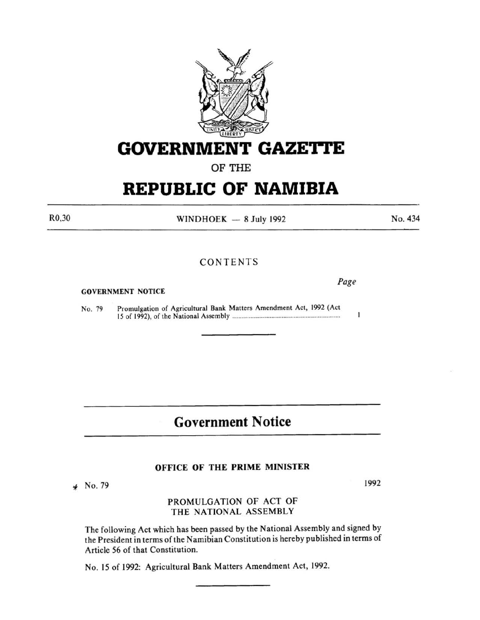

**GOVERNMENT GAZETTE** 

OF THE

# **REPUBLIC OF NAMIBIA**

R0,30

WINDHOEK  $-8$  July 1992

### CONTENTS

#### GOVERNMENT NOTICE

No. 79 Promulgation of Agricultural Bank Matters Amendment Act, 1992 (Act IS of 1992), of the National Assembly ................................................. .................... ..

## **Government Notice**

#### OFFICE OF THE PRIME MINISTER

*i* No. 79

### PROMULGATION OF ACT OF THE NATIONAL ASSEMBLY

The following Act which has been passed by the National Assembly and signed by the President in terms of the Namibian Constitution is hereby published in terms of Article 56 of that Constitution.

No. 15 of 1992: Agricultural Bank Matters Amendment Act, 1992.

1992

*Page* 

 $\mathbf{I}$ 

No. 434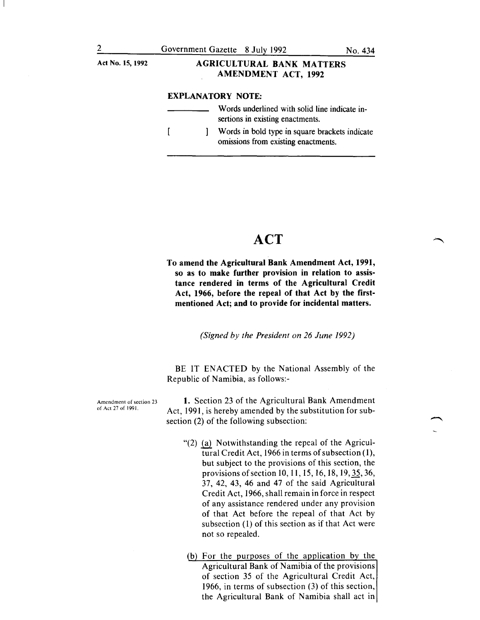## Act No.15, 1992 AGRICULTURAL BANK MATTERS AMENDMENT ACT, 1992

#### EXPLANATORY NOTE:

Words underlined with solid line indicate insertions in existing enactments.  $\overline{1}$ Words in bold type in square brackets indicate 1 omissions from existing enactments.

## **ACT**

To amend the Agricultural Bank Amendment Act, 1991, so as to make further provision in relation to assistance rendered in terms of the Agricultural Credit Act, 1966, before the repeal of that Act by the firstmentioned Act; and to provide for incidental matters.

*(Signed by the President on 26 June 1992)* 

BE IT ENACTED by the National Assembly of the Republic of Namibia, as follows:-

Amendment of section 23 of Act 27 of 1991.

1. Section 23 of the Agricultural Bank Amendment Act, 1991, is hereby amended by the substitution for subsection (2) of the following subsection:

- " $(2)$  (a) Notwithstanding the repeal of the Agricultural Credit Act, 1966 in terms of subsection (I), but subject to the provisions of this section, the provisions of section 10, 11, 15, 16, 18, 19, 35, 36, 37, 42, 43, 46 and 47 of the said Agricultural Credit Act, 1966, shall remain in force in respect of any assistance rendered under any provision of that Act before the repeal of that Act by subsection (l) of this section as if that Act were not so repealed.
- (b) For the purposes of the application by the Agricultural Bank of Namibia of the provisions of section 35 of the Agricultural Credit Act, 1966, in terms of subsection (3) of this section, the Agricultural Bank of Namibia shall act in